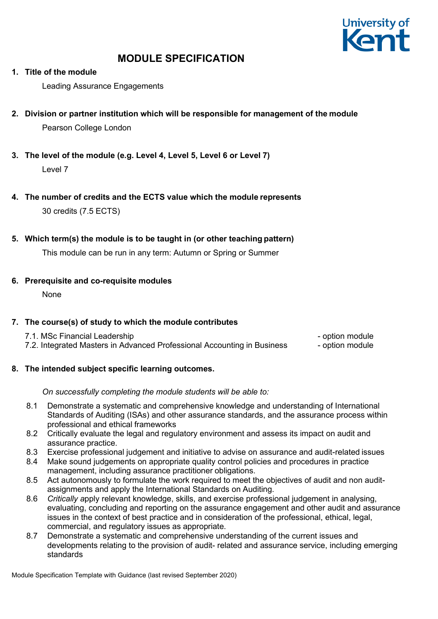

# **1. Title of the module**

Leading Assurance Engagements

- **2. Division or partner institution which will be responsible for management of the module** Pearson College London
- **3. The level of the module (e.g. Level 4, Level 5, Level 6 or Level 7)** Level 7
- **4. The number of credits and the ECTS value which the module represents** 30 credits (7.5 ECTS)

# **5. Which term(s) the module is to be taught in (or other teaching pattern)**

This module can be run in any term: Autumn or Spring or Summer

# **6. Prerequisite and co-requisite modules**

None

# **7. The course(s) of study to which the module contributes**

| 7.1. MSc Financial Leadership                                           | - option module |
|-------------------------------------------------------------------------|-----------------|
| 7.2. Integrated Masters in Advanced Professional Accounting in Business | - option module |

# **8. The intended subject specific learning outcomes.**

# *On successfully completing the module students will be able to:*

- 8.1 Demonstrate a systematic and comprehensive knowledge and understanding of International Standards of Auditing (ISAs) and other assurance standards, and the assurance process within professional and ethical frameworks
- 8.2 Critically evaluate the legal and regulatory environment and assess its impact on audit and assurance practice.
- 8.3 Exercise professional judgement and initiative to advise on assurance and audit-related issues
- 8.4 Make sound judgements on appropriate quality control policies and procedures in practice management, including assurance practitioner obligations.
- 8.5 Act autonomously to formulate the work required to meet the objectives of audit and non auditassignments and apply the International Standards on Auditing.
- 8.6 *Critically a*pply relevant knowledge, skills, and exercise professional judgement in analysing, evaluating, concluding and reporting on the assurance engagement and other audit and assurance issues in the context of best practice and in consideration of the professional, ethical, legal, commercial, and regulatory issues as appropriate.
- 8.7 Demonstrate a systematic and comprehensive understanding of the current issues and developments relating to the provision of audit- related and assurance service, including emerging standards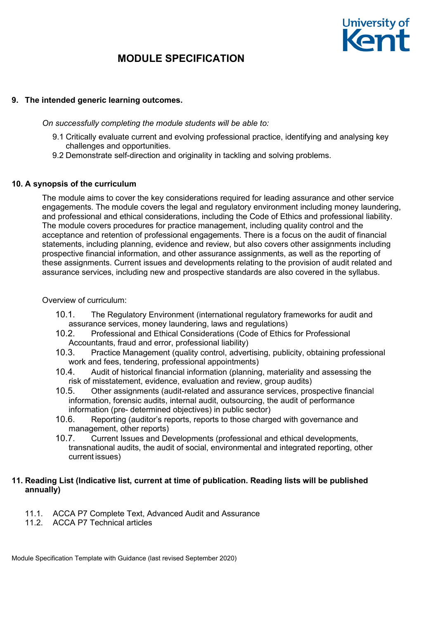

# **9. The intended generic learning outcomes.**

*On successfully completing the module students will be able to:*

- 9.1 Critically evaluate current and evolving professional practice, identifying and analysing key challenges and opportunities.
- 9.2 Demonstrate self-direction and originality in tackling and solving problems.

# **10. A synopsis of the curriculum**

The module aims to cover the key considerations required for leading assurance and other service engagements. The module covers the legal and regulatory environment including money laundering, and professional and ethical considerations, including the Code of Ethics and professional liability. The module covers procedures for practice management, including quality control and the acceptance and retention of professional engagements. There is a focus on the audit of financial statements, including planning, evidence and review, but also covers other assignments including prospective financial information, and other assurance assignments, as well as the reporting of these assignments. Current issues and developments relating to the provision of audit related and assurance services, including new and prospective standards are also covered in the syllabus.

Overview of curriculum:

- 10.1. The Regulatory Environment (international regulatory frameworks for audit and assurance services, money laundering, laws and regulations)
- 10.2. Professional and Ethical Considerations (Code of Ethics for Professional Accountants, fraud and error, professional liability)
- 10.3. Practice Management (quality control, advertising, publicity, obtaining professional work and fees, tendering, professional appointments)
- 10.4. Audit of historical financial information (planning, materiality and assessing the risk of misstatement, evidence, evaluation and review, group audits)
- 10.5. Other assignments (audit-related and assurance services, prospective financial information, forensic audits, internal audit, outsourcing, the audit of performance information (pre- determined objectives) in public sector)
- 10.6. Reporting (auditor's reports, reports to those charged with governance and management, other reports)
- 10.7. Current Issues and Developments (professional and ethical developments, transnational audits, the audit of social, environmental and integrated reporting, other current issues)

# **11. Reading List (Indicative list, current at time of publication. Reading lists will be published annually)**

- 11.1. ACCA P7 Complete Text, Advanced Audit and Assurance
- 11.2. ACCA P7 Technical articles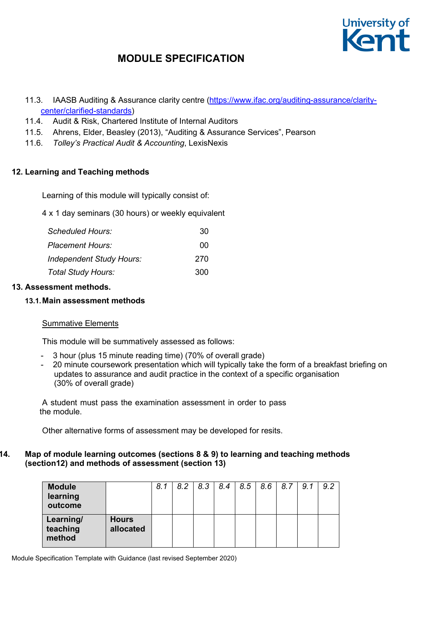

- 11.3. IAASB Auditing & Assurance clarity centre [\(https://www.ifac.org/auditing-assurance/clarity](https://www.ifac.org/auditing-assurance/clarity-center/clarified-standards)[center/clarified-standards\)](https://www.ifac.org/auditing-assurance/clarity-center/clarified-standards)
- 11.4. Audit & Risk, Chartered Institute of Internal Auditors
- 11.5. Ahrens, Elder, Beasley (2013), "Auditing & Assurance Services", Pearson
- 11.6. *Tolley's Practical Audit & Accounting*, LexisNexis

# **12. Learning and Teaching methods**

Learning of this module will typically consist of:

4 x 1 day seminars (30 hours) or weekly equivalent

| <b>Scheduled Hours:</b>   | 30  |
|---------------------------|-----|
| Placement Hours:          | 00  |
| Independent Study Hours:  | 270 |
| <b>Total Study Hours:</b> | 300 |

# **13. Assessment methods.**

# **13.1.Main assessment methods**

# Summative Elements

This module will be summatively assessed as follows:

- 3 hour (plus 15 minute reading time) (70% of overall grade)
- 20 minute coursework presentation which will typically take the form of a breakfast briefing on updates to assurance and audit practice in the context of a specific organisation (30% of overall grade)

A student must pass the examination assessment in order to pass the module.

Other alternative forms of assessment may be developed for resits.

# **14. Map of module learning outcomes (sections 8 & 9) to learning and teaching methods (section12) and methods of assessment (section 13)**

| <b>Module</b><br>learning<br>outcome |                           | 8.1 | 8.2 | 8.3 | 8.4 | 8.5 | 8.6 | 8.7 | 9.1 | 9.2 |
|--------------------------------------|---------------------------|-----|-----|-----|-----|-----|-----|-----|-----|-----|
| Learning/<br>teaching<br>method      | <b>Hours</b><br>allocated |     |     |     |     |     |     |     |     |     |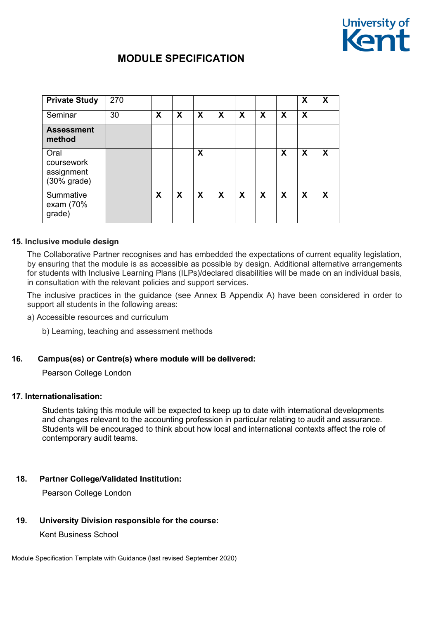

| <b>Private Study</b>                              | 270 |   |   |   |   |   |                           |                           | X                         | X |
|---------------------------------------------------|-----|---|---|---|---|---|---------------------------|---------------------------|---------------------------|---|
| Seminar                                           | 30  | X | X | X | X | X | $\boldsymbol{\mathsf{X}}$ | $\boldsymbol{\mathsf{X}}$ | $\boldsymbol{\mathsf{X}}$ |   |
| <b>Assessment</b><br>method                       |     |   |   |   |   |   |                           |                           |                           |   |
| Oral<br>coursework<br>assignment<br>$(30%$ grade) |     |   |   | X |   |   |                           | X                         | X                         | X |
| Summative<br>exam (70%<br>grade)                  |     | X | X | X | X | X | X                         | $\boldsymbol{\mathsf{X}}$ | X                         | X |

# **15. Inclusive module design**

The Collaborative Partner recognises and has embedded the expectations of current equality legislation, by ensuring that the module is as accessible as possible by design. Additional alternative arrangements for students with Inclusive Learning Plans (ILPs)/declared disabilities will be made on an individual basis, in consultation with the relevant policies and support services.

The inclusive practices in the guidance (see Annex B Appendix A) have been considered in order to support all students in the following areas:

- a) Accessible resources and curriculum
	- b) Learning, teaching and assessment methods

#### **16. Campus(es) or Centre(s) where module will be delivered:**

Pearson College London

#### **17. Internationalisation:**

Students taking this module will be expected to keep up to date with international developments and changes relevant to the accounting profession in particular relating to audit and assurance. Students will be encouraged to think about how local and international contexts affect the role of contemporary audit teams.

# **18. Partner College/Validated Institution:**

Pearson College London

### **19. University Division responsible for the course:**

Kent Business School